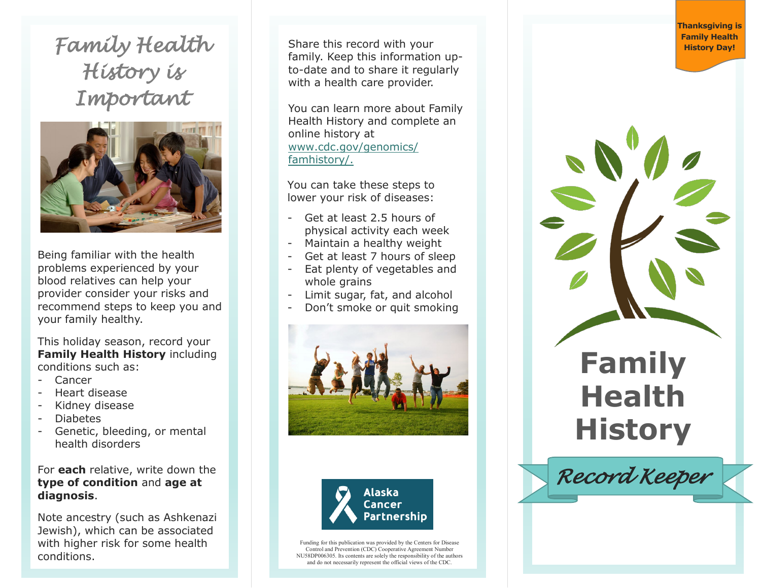**Family Health** Share this record with your *Family Health Family Health Family Health History Day! History is Important* 



Being familiar with the health problems experienced by your blood relatives can help your provider consider your risks and recommend steps to keep you and your family healthy.

This holiday season, record your **Family Health History** including conditions such as:<br>- Cancer

- 
- Heart disease
- Kidney disease
- Diabetes
- Genetic, bleeding, or mental health disorders

## For **each** relative, write down the **type of condition** and **age at diagnosis**.

Note ancestry (such as Ashkenazi Jewish ), which can be associated with higher risk for some health conditions.

Share thi s record with your famil y . Keep this information up to -date and to share it regularly with a health care provide r.

You can learn more about Family Health History and complete an online history at www.[cdc.gov/genomics/](http://www.hhs.gov/programs/prevention-and-wellness/family-health-history) [famhist](http://www.hhs.gov/programs/prevention-and-wellness/family-health-history)ory/.

You can take these steps to lower your risk of diseases:

- Get at least 2.5 hours of physical activity each week
- Maintain a healthy weight
- Get at least 7 hours of sleep
- Eat plenty of vegetables and whole grains
- Limit sugar, fat, and alcohol
- Don't smoke or quit smoking





Funding for this publication was provided by the Centers for Disease Control and Prevention (CDC) Cooperative Agreement Number NU58DP006305. Its contents are solely the responsibility of the authors and do not necessarily represent the official views of the CDC.

**Thanksgiving is**